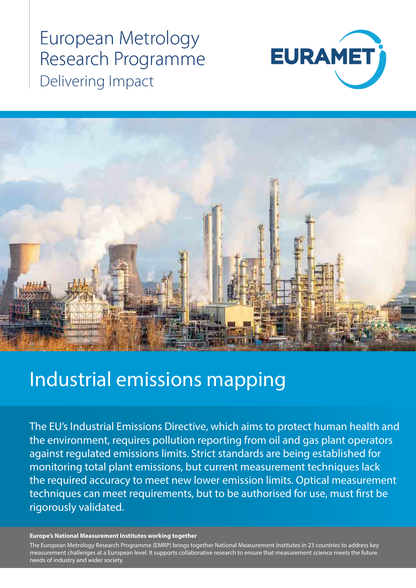European Metrology Research Programme Delivering Impact





# Industrial emissions mapping

The EU's Industrial Emissions Directive, which aims to protect human health and the environment, requires pollution reporting from oil and gas plant operators against regulated emissions limits. Strict standards are being established for monitoring total plant emissions, but current measurement techniques lack the required accuracy to meet new lower emission limits. Optical measurement techniques can meet requirements, but to be authorised for use, must first be rigorously validated.

#### **Europe's National Measurement Institutes working together**

measurement challenges at a European level. It supports collaborative research to ensure that measurement science meets the future<br>needs of industry and wider society The European Metrology Research Programme (EMRP) brings together National Measurement Institutes in 23 countries to address key needs of industry and wider society.